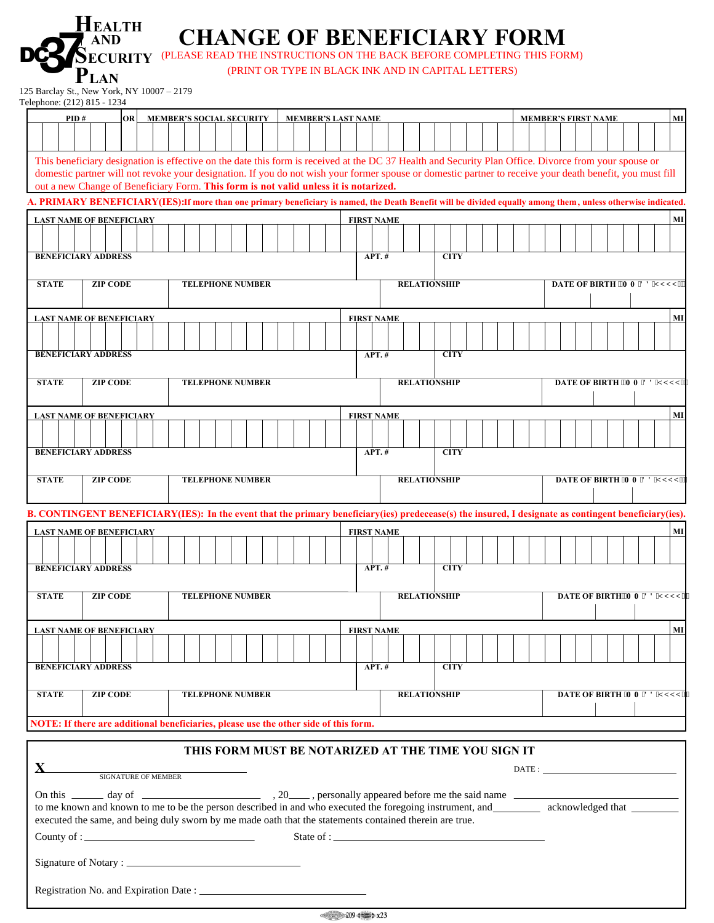|                                                                                   | <b>HEALTH</b><br>AND                       | <b>CHANGE OF BENEFICIARY FORM</b><br><b>SECURITY</b> (PLEASE READ THE INSTRUCTIONS ON THE BACK BEFORE COMPLETING THIS FORM)                                                                                                                       |                                                     |                   |          |                     |  |                            |  |                             |    |    |
|-----------------------------------------------------------------------------------|--------------------------------------------|---------------------------------------------------------------------------------------------------------------------------------------------------------------------------------------------------------------------------------------------------|-----------------------------------------------------|-------------------|----------|---------------------|--|----------------------------|--|-----------------------------|----|----|
|                                                                                   | Plan                                       |                                                                                                                                                                                                                                                   | (PRINT OR TYPE IN BLACK INK AND IN CAPITAL LETTERS) |                   |          |                     |  |                            |  |                             |    |    |
| Telephone: (212) 815 - 1234                                                       | 125 Barclay St., New York, NY 10007 - 2179 |                                                                                                                                                                                                                                                   |                                                     |                   |          |                     |  |                            |  |                             |    |    |
| <b>OR</b><br><b>MEMBER'S SOCIAL SECURITY</b><br><b>MEMBER'S LAST NAME</b><br>PID# |                                            |                                                                                                                                                                                                                                                   |                                                     |                   |          |                     |  | <b>MEMBER'S FIRST NAME</b> |  |                             | MI |    |
|                                                                                   |                                            |                                                                                                                                                                                                                                                   |                                                     |                   |          |                     |  |                            |  |                             |    |    |
|                                                                                   |                                            | This beneficiary designation is effective on the date this form is received at the DC 37 Health and Security Plan Office. Divorce from your spouse or                                                                                             |                                                     |                   |          |                     |  |                            |  |                             |    |    |
|                                                                                   |                                            | domestic partner will not revoke your designation. If you do not wish your former spouse or domestic partner to receive your death benefit, you must fill<br>out a new Change of Beneficiary Form. This form is not valid unless it is notarized. |                                                     |                   |          |                     |  |                            |  |                             |    |    |
|                                                                                   |                                            | A. PRIMARY BENEFICIARY(IES): If more than one primary beneficiary is named, the Death Benefit will be divided equally among them, unless otherwise indicated.                                                                                     |                                                     |                   |          |                     |  |                            |  |                             |    |    |
|                                                                                   | <b>LAST NAME OF BENEFICIARY</b>            |                                                                                                                                                                                                                                                   |                                                     | <b>FIRST NAME</b> |          |                     |  |                            |  |                             |    | MI |
|                                                                                   |                                            |                                                                                                                                                                                                                                                   |                                                     |                   |          |                     |  |                            |  |                             |    |    |
|                                                                                   | <b>BENEFICIARY ADDRESS</b>                 |                                                                                                                                                                                                                                                   |                                                     | APT.#             |          | <b>CITY</b>         |  |                            |  |                             |    |    |
| <b>STATE</b>                                                                      | <b>ZIP CODE</b>                            | <b>TELEPHONE NUMBER</b>                                                                                                                                                                                                                           |                                                     |                   |          | <b>RELATIONSHIP</b> |  |                            |  | DATE OF BIRTH "OO FFI [[[+" |    |    |
|                                                                                   |                                            |                                                                                                                                                                                                                                                   |                                                     |                   |          |                     |  |                            |  |                             |    |    |
|                                                                                   | <b>LAST NAME OF BENEFICIARY</b>            |                                                                                                                                                                                                                                                   |                                                     | <b>FIRST NAME</b> |          |                     |  |                            |  |                             |    | MI |
|                                                                                   | <b>BENEFICIARY ADDRESS</b>                 |                                                                                                                                                                                                                                                   |                                                     | <b>APT.#</b>      |          | <b>CITY</b>         |  |                            |  |                             |    |    |
|                                                                                   |                                            |                                                                                                                                                                                                                                                   |                                                     |                   |          |                     |  |                            |  |                             |    |    |
| <b>STATE</b>                                                                      | <b>ZIP CODE</b>                            | <b>TELEPHONE NUMBER</b>                                                                                                                                                                                                                           |                                                     |                   |          | <b>RELATIONSHIP</b> |  |                            |  | DATE OF BIRTH "OOFFI [[[+   |    |    |
|                                                                                   | <b>LAST NAME OF BENEFICIARY</b>            |                                                                                                                                                                                                                                                   |                                                     | <b>FIRST NAME</b> |          |                     |  |                            |  |                             |    | MI |
|                                                                                   |                                            |                                                                                                                                                                                                                                                   |                                                     |                   |          |                     |  |                            |  |                             |    |    |
|                                                                                   | <b>BENEFICIARY ADDRESS</b>                 |                                                                                                                                                                                                                                                   |                                                     | $APT.$ #          |          | <b>CITY</b>         |  |                            |  |                             |    |    |
| <b>STATE</b>                                                                      | <b>ZIP CODE</b>                            | <b>TELEPHONE NUMBER</b>                                                                                                                                                                                                                           |                                                     |                   |          | <b>RELATIONSHIP</b> |  |                            |  | DATE OF BIRTH *OOFFIIII+    |    |    |
|                                                                                   |                                            |                                                                                                                                                                                                                                                   |                                                     |                   |          |                     |  |                            |  |                             |    |    |
|                                                                                   |                                            | B. CONTINGENT BENEFICIARY(IES): In the event that the primary beneficiary(ies) predecease(s) the insured, I designate as contingent beneficiary(ies).                                                                                             |                                                     |                   |          |                     |  |                            |  |                             |    |    |
|                                                                                   | <b>LAST NAME OF BENEFICIARY</b>            |                                                                                                                                                                                                                                                   |                                                     | <b>FIRST NAME</b> |          |                     |  |                            |  |                             |    | MI |
|                                                                                   |                                            |                                                                                                                                                                                                                                                   |                                                     |                   |          |                     |  |                            |  |                             |    |    |
|                                                                                   | <b>BENEFICIARY ADDRESS</b>                 |                                                                                                                                                                                                                                                   |                                                     |                   | $APT.$ # | <b>CITY</b>         |  |                            |  |                             |    |    |
| <b>STATE</b>                                                                      | <b>ZIP CODE</b>                            | <b>TELEPHONE NUMBER</b>                                                                                                                                                                                                                           |                                                     |                   |          | <b>RELATIONSHIP</b> |  |                            |  | DATE OF BIRTH'O O FFI [[[+  |    |    |
|                                                                                   |                                            |                                                                                                                                                                                                                                                   |                                                     |                   |          |                     |  |                            |  |                             |    |    |
|                                                                                   | <b>LAST NAME OF BENEFICIARY</b>            |                                                                                                                                                                                                                                                   |                                                     | <b>FIRST NAME</b> |          |                     |  |                            |  |                             |    | MI |
|                                                                                   | <b>BENEFICIARY ADDRESS</b>                 |                                                                                                                                                                                                                                                   |                                                     | APT.#             |          | <b>CITY</b>         |  |                            |  |                             |    |    |
|                                                                                   |                                            |                                                                                                                                                                                                                                                   |                                                     |                   |          |                     |  |                            |  |                             |    |    |
| <b>STATE</b>                                                                      | <b>ZIP CODE</b>                            | <b>TELEPHONE NUMBER</b>                                                                                                                                                                                                                           |                                                     |                   |          | <b>RELATIONSHIP</b> |  |                            |  | DATE OF BIRTH *OOFFI[[[+"   |    |    |

**NOTE: If there are additional beneficiaries, please use the other side of this form.**

## **THIS FORM MUST BE NOTARIZED AT THE TIME YOU SIGN IT**

| <b>SIGNATURE OF MEMBER</b>                                                                                                                                                                                                            |  |  | $\text{DATE:}\underbrace{\hspace{2.5cm}}$ |  |  |  |
|---------------------------------------------------------------------------------------------------------------------------------------------------------------------------------------------------------------------------------------|--|--|-------------------------------------------|--|--|--|
| to me known and known to me to be the person described in and who executed the foregoing instrument, and acknowledged that<br>executed the same, and being duly sworn by me made oath that the statements contained therein are true. |  |  |                                           |  |  |  |
| County of : $\qquad \qquad$                                                                                                                                                                                                           |  |  |                                           |  |  |  |
|                                                                                                                                                                                                                                       |  |  |                                           |  |  |  |
|                                                                                                                                                                                                                                       |  |  |                                           |  |  |  |